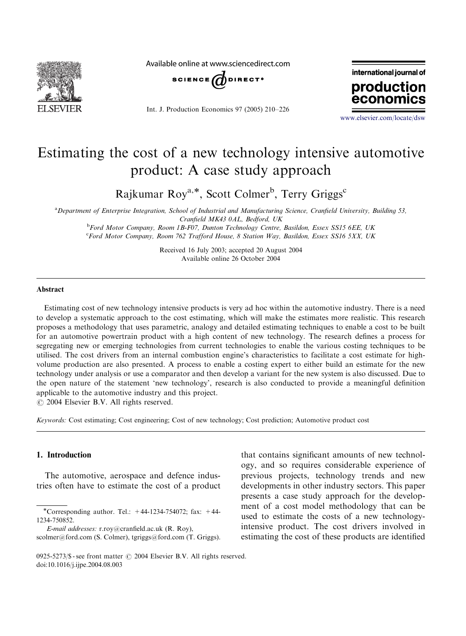

Available online at www.sciencedirect.com



Int. J. Production Economics 97 (2005) 210–226



<www.elsevier.com/locate/dsw>

## Estimating the cost of a new technology intensive automotive product: A case study approach

Rajkumar Roy<sup>a,\*</sup>, Scott Colmer<sup>b</sup>, Terry Griggs<sup>c</sup>

a Department of Enterprise Integration, School of Industrial and Manufacturing Science, Cranfield University, Building 53, Cranfield MK43 0AL, Bedford, UK **b** Ford Motor Company, Room 1B-F07, Dunton Technology Centre, Basildon, Essex SS15 6EE, UK

<sup>c</sup>Ford Motor Company, Room 762 Trafford House, 8 Station Way, Basildon, Essex SS16 5XX, UK

Received 16 July 2003; accepted 20 August 2004 Available online 26 October 2004

### Abstract

Estimating cost of new technology intensive products is very ad hoc within the automotive industry. There is a need to develop a systematic approach to the cost estimating, which will make the estimates more realistic. This research proposes a methodology that uses parametric, analogy and detailed estimating techniques to enable a cost to be built for an automotive powertrain product with a high content of new technology. The research defines a process for segregating new or emerging technologies from current technologies to enable the various costing techniques to be utilised. The cost drivers from an internal combustion engine's characteristics to facilitate a cost estimate for highvolume production are also presented. A process to enable a costing expert to either build an estimate for the new technology under analysis or use a comparator and then develop a variant for the new system is also discussed. Due to the open nature of the statement 'new technology', research is also conducted to provide a meaningful definition applicable to the automotive industry and this project.

 $O$  2004 Elsevier B.V. All rights reserved.

Keywords: Cost estimating; Cost engineering; Cost of new technology; Cost prediction; Automotive product cost

#### 1. Introduction

The automotive, aerospace and defence industries often have to estimate the cost of a product that contains significant amounts of new technology, and so requires considerable experience of previous projects, technology trends and new developments in other industry sectors. This paper presents a case study approach for the development of a cost model methodology that can be used to estimate the costs of a new technologyintensive product. The cost drivers involved in estimating the cost of these products are identified

<sup>\*</sup>Corresponding author. Tel.:  $+44-1234-754072$ ; fax:  $+44-$ 1234-750852.

E-mail addresses: r.roy@cranfield.ac.uk (R. Roy), scolmer@ford.com (S. Colmer), tgriggs@ford.com (T. Griggs).

<sup>0925-5273/\$ -</sup> see front matter  $\odot$  2004 Elsevier B.V. All rights reserved. doi:10.1016/j.ijpe.2004.08.003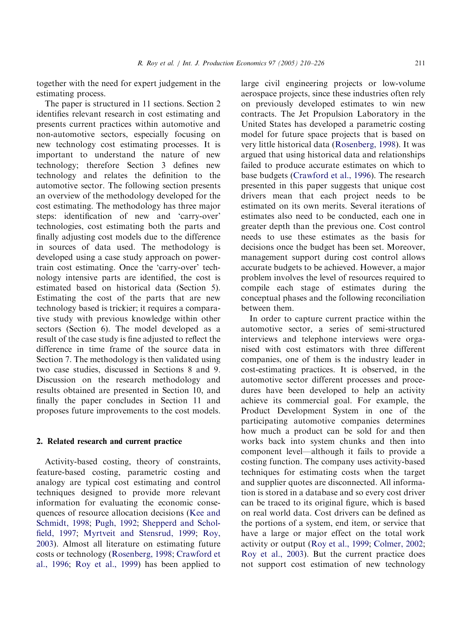together with the need for expert judgement in the estimating process.

The paper is structured in 11 sections. Section 2 identifies relevant research in cost estimating and presents current practices within automotive and non-automotive sectors, especially focusing on new technology cost estimating processes. It is important to understand the nature of new technology; therefore Section 3 defines new technology and relates the definition to the automotive sector. The following section presents an overview of the methodology developed for the cost estimating. The methodology has three major steps: identification of new and 'carry-over' technologies, cost estimating both the parts and finally adjusting cost models due to the difference in sources of data used. The methodology is developed using a case study approach on powertrain cost estimating. Once the 'carry-over' technology intensive parts are identified, the cost is estimated based on historical data (Section 5). Estimating the cost of the parts that are new technology based is trickier; it requires a comparative study with previous knowledge within other sectors (Section 6). The model developed as a result of the case study is fine adjusted to reflect the difference in time frame of the source data in Section 7. The methodology is then validated using two case studies, discussed in Sections 8 and 9. Discussion on the research methodology and results obtained are presented in Section 10, and finally the paper concludes in Section 11 and proposes future improvements to the cost models.

#### 2. Related research and current practice

Activity-based costing, theory of constraints, feature-based costing, parametric costing and analogy are typical cost estimating and control techniques designed to provide more relevant information for evaluating the economic consequences of resource allocation decisions [\(Kee and](#page--1-0) [Schmidt, 1998](#page--1-0); [Pugh, 1992;](#page--1-0) [Shepperd and Schol](#page--1-0)[field, 1997](#page--1-0); [Myrtveit and Stensrud, 1999](#page--1-0); [Roy,](#page--1-0) [2003](#page--1-0)). Almost all literature on estimating future costs or technology [\(Rosenberg, 1998](#page--1-0); [Crawford et](#page--1-0) [al., 1996](#page--1-0); [Roy et al., 1999](#page--1-0)) has been applied to

large civil engineering projects or low-volume aerospace projects, since these industries often rely on previously developed estimates to win new contracts. The Jet Propulsion Laboratory in the United States has developed a parametric costing model for future space projects that is based on very little historical data [\(Rosenberg, 1998](#page--1-0)). It was argued that using historical data and relationships failed to produce accurate estimates on which to base budgets ([Crawford et al., 1996](#page--1-0)). The research presented in this paper suggests that unique cost drivers mean that each project needs to be estimated on its own merits. Several iterations of estimates also need to be conducted, each one in greater depth than the previous one. Cost control needs to use these estimates as the basis for decisions once the budget has been set. Moreover, management support during cost control allows accurate budgets to be achieved. However, a major problem involves the level of resources required to compile each stage of estimates during the conceptual phases and the following reconciliation between them.

In order to capture current practice within the automotive sector, a series of semi-structured interviews and telephone interviews were organised with cost estimators with three different companies, one of them is the industry leader in cost-estimating practices. It is observed, in the automotive sector different processes and procedures have been developed to help an activity achieve its commercial goal. For example, the Product Development System in one of the participating automotive companies determines how much a product can be sold for and then works back into system chunks and then into component level—although it fails to provide a costing function. The company uses activity-based techniques for estimating costs when the target and supplier quotes are disconnected. All information is stored in a database and so every cost driver can be traced to its original figure, which is based on realworld data. Cost drivers can be defined as the portions of a system, end item, or service that have a large or major effect on the total work activity or output [\(Roy et al., 1999](#page--1-0); [Colmer, 2002](#page--1-0); [Roy et al., 2003\)](#page--1-0). But the current practice does not support cost estimation of new technology